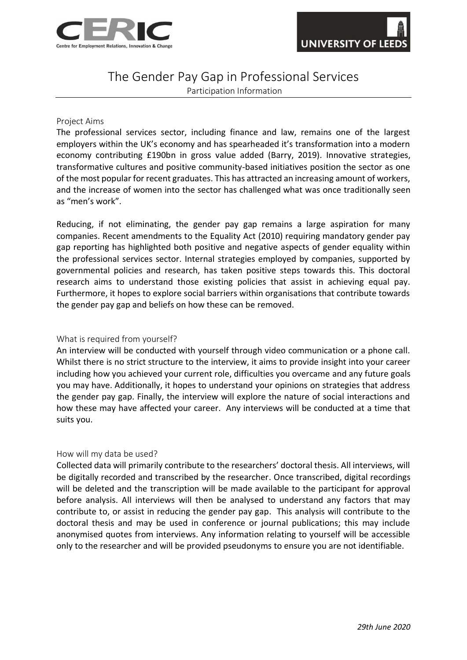

# The Gender Pay Gap in Professional Services

Participation Information

#### Project Aims

The professional services sector, including finance and law, remains one of the largest employers within the UK's economy and has spearheaded it's transformation into a modern economy contributing £190bn in gross value added (Barry, 2019). Innovative strategies, transformative cultures and positive community-based initiatives position the sector as one of the most popular for recent graduates. This has attracted an increasing amount of workers, and the increase of women into the sector has challenged what was once traditionally seen as "men's work".

Reducing, if not eliminating, the gender pay gap remains a large aspiration for many companies. Recent amendments to the Equality Act (2010) requiring mandatory gender pay gap reporting has highlighted both positive and negative aspects of gender equality within the professional services sector. Internal strategies employed by companies, supported by governmental policies and research, has taken positive steps towards this. This doctoral research aims to understand those existing policies that assist in achieving equal pay. Furthermore, it hopes to explore social barriers within organisations that contribute towards the gender pay gap and beliefs on how these can be removed.

## What is required from yourself?

An interview will be conducted with yourself through video communication or a phone call. Whilst there is no strict structure to the interview, it aims to provide insight into your career including how you achieved your current role, difficulties you overcame and any future goals you may have. Additionally, it hopes to understand your opinions on strategies that address the gender pay gap. Finally, the interview will explore the nature of social interactions and how these may have affected your career. Any interviews will be conducted at a time that suits you.

#### How will my data be used?

Collected data will primarily contribute to the researchers' doctoral thesis. All interviews, will be digitally recorded and transcribed by the researcher. Once transcribed, digital recordings will be deleted and the transcription will be made available to the participant for approval before analysis. All interviews will then be analysed to understand any factors that may contribute to, or assist in reducing the gender pay gap. This analysis will contribute to the doctoral thesis and may be used in conference or journal publications; this may include anonymised quotes from interviews. Any information relating to yourself will be accessible only to the researcher and will be provided pseudonyms to ensure you are not identifiable.